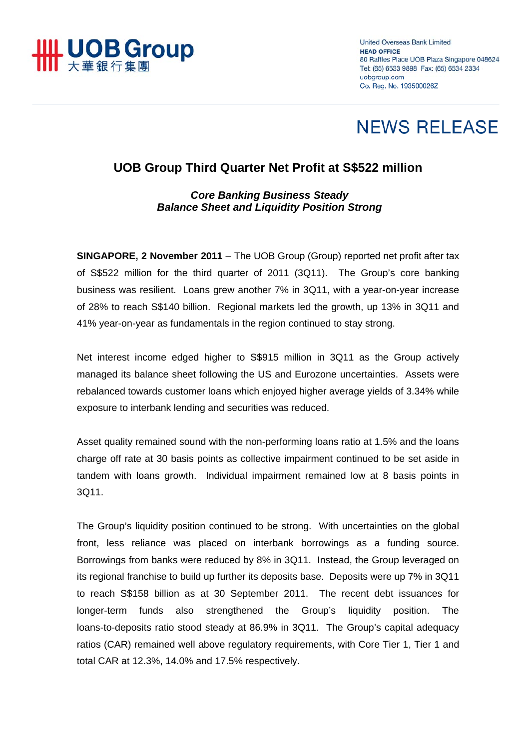

**United Overseas Bank Limited HEAD OFFICE** 80 Raffles Place UOB Plaza Singapore 048624 Tel: (65) 6533 9898 Fax: (65) 6534 2334 uobgroup.com Co. Reg. No. 193500026Z

# **NEWS RELEASE**

# **UOB Group Third Quarter Net Profit at S\$522 million**

# *Core Banking Business Steady Balance Sheet and Liquidity Position Strong*

**SINGAPORE, 2 November 2011** – The UOB Group (Group) reported net profit after tax of S\$522 million for the third quarter of 2011 (3Q11). The Group's core banking business was resilient. Loans grew another 7% in 3Q11, with a year-on-year increase of 28% to reach S\$140 billion. Regional markets led the growth, up 13% in 3Q11 and 41% year-on-year as fundamentals in the region continued to stay strong.

Net interest income edged higher to S\$915 million in 3Q11 as the Group actively managed its balance sheet following the US and Eurozone uncertainties. Assets were rebalanced towards customer loans which enjoyed higher average yields of 3.34% while exposure to interbank lending and securities was reduced.

Asset quality remained sound with the non-performing loans ratio at 1.5% and the loans charge off rate at 30 basis points as collective impairment continued to be set aside in tandem with loans growth. Individual impairment remained low at 8 basis points in 3Q11.

The Group's liquidity position continued to be strong. With uncertainties on the global front, less reliance was placed on interbank borrowings as a funding source. Borrowings from banks were reduced by 8% in 3Q11. Instead, the Group leveraged on its regional franchise to build up further its deposits base. Deposits were up 7% in 3Q11 to reach S\$158 billion as at 30 September 2011. The recent debt issuances for longer-term funds also strengthened the Group's liquidity position. The loans-to-deposits ratio stood steady at 86.9% in 3Q11. The Group's capital adequacy ratios (CAR) remained well above regulatory requirements, with Core Tier 1, Tier 1 and total CAR at 12.3%, 14.0% and 17.5% respectively.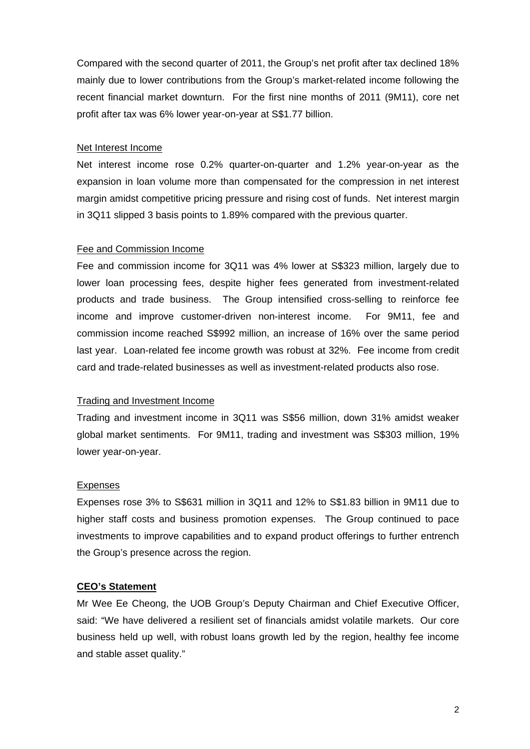Compared with the second quarter of 2011, the Group's net profit after tax declined 18% mainly due to lower contributions from the Group's market-related income following the recent financial market downturn. For the first nine months of 2011 (9M11), core net profit after tax was 6% lower year-on-year at S\$1.77 billion.

#### Net Interest Income

Net interest income rose 0.2% quarter-on-quarter and 1.2% year-on-year as the expansion in loan volume more than compensated for the compression in net interest margin amidst competitive pricing pressure and rising cost of funds. Net interest margin in 3Q11 slipped 3 basis points to 1.89% compared with the previous quarter.

#### Fee and Commission Income

Fee and commission income for 3Q11 was 4% lower at S\$323 million, largely due to lower loan processing fees, despite higher fees generated from investment-related products and trade business. The Group intensified cross-selling to reinforce fee income and improve customer-driven non-interest income. For 9M11, fee and commission income reached S\$992 million, an increase of 16% over the same period last year. Loan-related fee income growth was robust at 32%. Fee income from credit card and trade-related businesses as well as investment-related products also rose.

## Trading and Investment Income

Trading and investment income in 3Q11 was S\$56 million, down 31% amidst weaker global market sentiments. For 9M11, trading and investment was S\$303 million, 19% lower year-on-year.

#### Expenses

Expenses rose 3% to S\$631 million in 3Q11 and 12% to S\$1.83 billion in 9M11 due to higher staff costs and business promotion expenses. The Group continued to pace investments to improve capabilities and to expand product offerings to further entrench the Group's presence across the region.

## **CEO's Statement**

Mr Wee Ee Cheong, the UOB Group's Deputy Chairman and Chief Executive Officer, said: "We have delivered a resilient set of financials amidst volatile markets. Our core business held up well, with robust loans growth led by the region, healthy fee income and stable asset quality."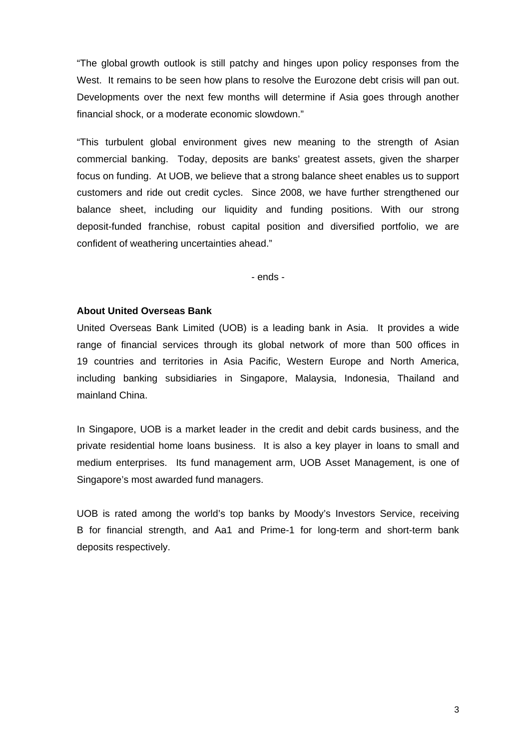"The global growth outlook is still patchy and hinges upon policy responses from the West. It remains to be seen how plans to resolve the Eurozone debt crisis will pan out. Developments over the next few months will determine if Asia goes through another financial shock, or a moderate economic slowdown."

"This turbulent global environment gives new meaning to the strength of Asian commercial banking. Today, deposits are banks' greatest assets, given the sharper focus on funding. At UOB, we believe that a strong balance sheet enables us to support customers and ride out credit cycles. Since 2008, we have further strengthened our balance sheet, including our liquidity and funding positions. With our strong deposit-funded franchise, robust capital position and diversified portfolio, we are confident of weathering uncertainties ahead."

- ends -

#### **About United Overseas Bank**

United Overseas Bank Limited (UOB) is a leading bank in Asia. It provides a wide range of financial services through its global network of more than 500 offices in 19 countries and territories in Asia Pacific, Western Europe and North America, including banking subsidiaries in Singapore, Malaysia, Indonesia, Thailand and mainland China.

In Singapore, UOB is a market leader in the credit and debit cards business, and the private residential home loans business. It is also a key player in loans to small and medium enterprises. Its fund management arm, UOB Asset Management, is one of Singapore's most awarded fund managers.

UOB is rated among the world's top banks by Moody's Investors Service, receiving B for financial strength, and Aa1 and Prime-1 for long-term and short-term bank deposits respectively.